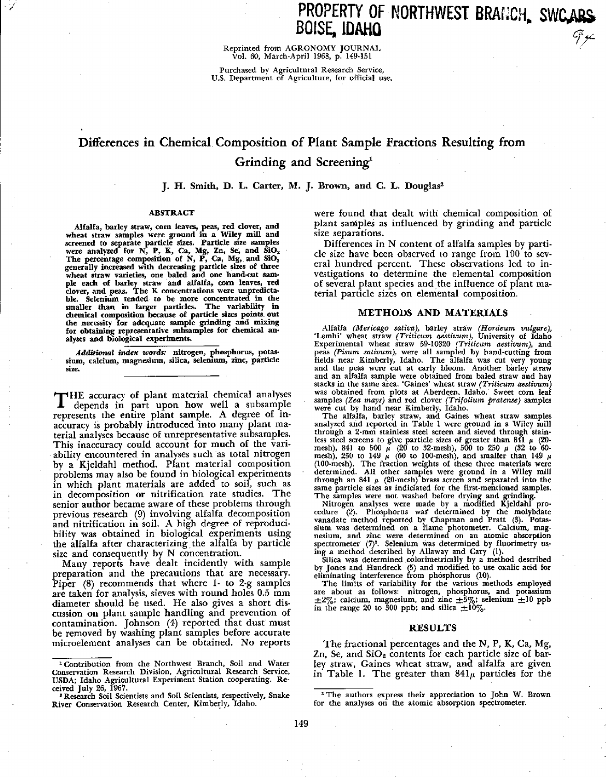Reprinted from AGRONOMY JOURNAL Vol. 60, March-April 1968, p. 149-151

Purchased by Agricultural Research Service, U.S. Department of Agriculture, for official use.

# Differences in Chemical. Composition of Plant Sample Fractions Resulting from Grinding and Screening<sup>1</sup>

# **J. H. Smith, D. L. Carter, M. J. Brown, and C. L. Douglas <sup>2</sup>**

#### **ABSTRACT**

Alfalfa, barley straw, corn leaves, peas, red clover, and<br>wheat straw samples were ground in a Wiley mill and<br>screened to separate particle sizes. Particle size samples<br>were analyzed for N, P, K, Ca, Mg, Zn, Se, and SiO<sub>3</sub> **alyses and** biological experiments.

*Additional index words: nitrogen,* **phosphorus, potassium,** *calcium,* **magnesium, silica, selenium, zinc, particle size.**

THE accuracy of plant material chemical analyses<br>depends in part upon how well a subsample depends in part upon how *well a* subsample represents the entire plant sample. A degree of inaccuracy is probably introduced into many plant material analyses because of unrepresentative subsamples. This inaccuracy could account for much of the variability encountered in analyses such as total nitrogen by *a* Kjeldahl method. Plant material composition problems may also be found in biological experiments m which plant materials are added to soil, such as in decomposition or nitrification rate studies. The senior author became aware of these problems through previous research (9) involving alfalfa decomposition and nitrification in soil. A high degree of reproducibility was obtained in biological experiments using the alfalfa after characterizing the alfalfa by particle size and consequently by N concentration.

Many reports have dealt incidently with sample preparation and the precautions that are necessary. Piper (8) recommends that where 1- to 2-g samples are taken for analysis, sieves with round holes 0.5 mm diameter should be used. He also gives a short discussion on plant sample handling and prevention of contamination. Johnson (4) reported that dust must be removed by washing plant samples before accurate microelement analyses can be obtained. No reports were found that dealt with chemical composition of plant samples as influenced by grinding and particle size separations.

Differences in N content of alfalfa samples by particle size have been observed to range from 100 to several hundred percent. These observations led to investigations to determine the elemental composition of several plant species and the influence of plant material particle sizes on elemental composition.

#### **METHODS AND MATERIALS**

Alfalfa *(Mericago sativa),* barley straw *(Hordeum vulgare),* `Lemhi. wheat straw *(Triticum aestivum),* University of Idaho Experimental wheat straw 59-10320 *(Triticum aestivum),* and peas *(Pisum sativum),* were all sampled by hand-cutting from fields near Kimberly, Idaho. The alfalfa was cut very young and the peas were cut at early bloom. Another barley straw and an alfalfa sample were obtained from baled straw and hay stacks in the same area. 'Gaines' wheat straw (Triticum aestivum) was obtained from plots at Aberdeen, Idaho. Sweet corn leaf<br>samples (Zea mays) and red clover (Trifolium pratense) samples<br>were cut by hand near Kimberly, I

The alfalfa, barley straw, and Gaines wheat straw samples analyzed and reported in Table 1 were ground in a Wiley mill through a 2-mm stainless steel screen and sieved through stain-<br>less steel screens to give particle sizes of greater than 841  $\mu$  (20-<br>mesh), 841 to 500  $\mu$  (20 to 32-mesh), 500 to 250  $\mu$  (32 to 60-<br>mesh), 250 to 149

spectrometer (7)<sup>3</sup>. Selenium was determined by fluorimetry using a method described by Allaway and Cary (1).<br>Silica was determined colorimetrically by a method described<br>by Jones and Handreck (5) and modified to use oxali

eliminating interference from phosphorus (10). The limits of variability for the various methods employed are about as follows: nitrogen, phosphorus, and potassium  $\pm 2\%$ ; calcium, magnesium, and zinc  $\pm 5\%$ ; selenium  $\pm 10$  ppb<br>in the range 20 to 300 ppb; and silica  $\pm 10\%$ .

### RESULTS

The fractional percentages and the N, P, K, Ca, Mg, Zn, Se, and  $SiO<sub>2</sub>$  contents for each particle size of barley straw, Gaines wheat straw, and alfalfa are given in Table 1. The greater than  $841\mu$  particles for the

Contribution from the Northwest Branch, Soil and Water Conservation Research Division, Agricultural Research Service, USDA; Idaho Agricultural Experiment Station cooperating. Received July 26, 1967.

<sup>&</sup>lt;sup>2</sup> Research Soil Scientists and Soil Scientists, respectively, Snake River Conservation Research Center, Kimberly, Idaho.

<sup>3</sup>The authors express their appreciation to John W. Brown for the analyses on the atomic absorption spectrometer.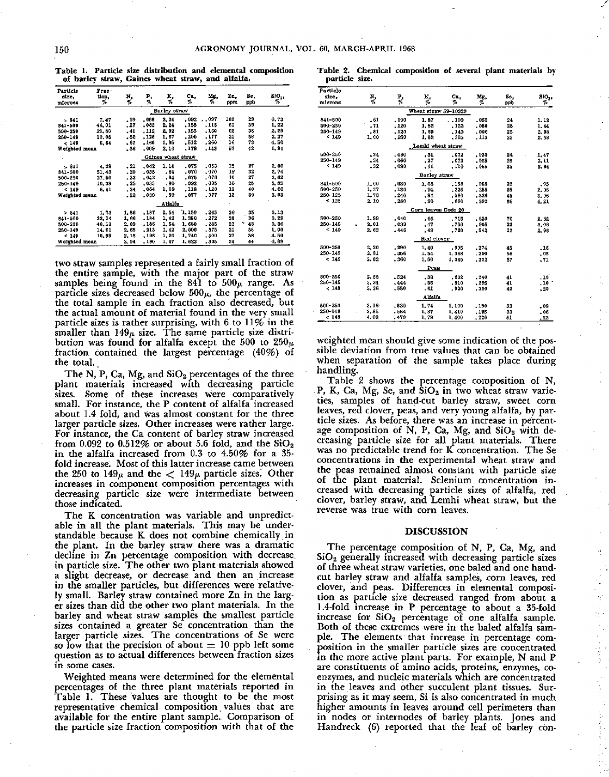**Table 1. Particle size distribution and elemental composition of barley straw, Gaines wheat straw, and alfalfa.**

| Particle      | Угаа-  |       |       |                    |        |         |     |         |                   |
|---------------|--------|-------|-------|--------------------|--------|---------|-----|---------|-------------------|
| aize.         | tion.  | N,    | P,    | к.                 | Ca.    | Mg,     | Zn. | Se,     | SiO <sub>24</sub> |
| microna       | 7.     | v,    | 76    | 7.                 | 7.     | У,      | ppm | ppb     | %                 |
|               |        |       |       | Barley straw       |        |         |     |         |                   |
| $-341$        | 7.47   | . 19  | - 068 | 2.24               | .092   | . . 097 | 102 | 29      | 0.73              |
| 841-500       | 46,01  | , 27  | .083  | 2, 24              | . 155  | . 115   | 61  | 39      | 1, 22             |
| 500-250       | 29.80  | . 41  | . 112 | 2,02               | .155   | .160    | 62  | 38      | 2, 29             |
| 260-149       | 10.08  | . 52  | .128  | 1.67               | .200   | . 177   | 21  | 56      | 3, 37             |
| < 149         | 6, 64  | . 67  | .160  | 1,96               | - 512  | .260    | 16  | 73      | 4.50              |
| Weighted mean |        | . 36  | .099  | 2.10               | , 179  | . 143   | 57  | 42      | 1,94              |
|               |        |       |       | Gaines wheat straw |        |         |     |         |                   |
| $-841$        | 4,28   | , 21  | ,042  | 1.14               | . 075  | .053    | 15  | 27      | 2.00              |
| 841-500       | 51.43  | . 20  | .035  | $-84$              | .070   | .070    | 15  | 32      | 2,74              |
| 500-250       | 27.50  | . 23  | .042  | .94                | .075   | .076    | 10  | 27      | 3.02              |
| 250-149       | 10.33  | , 25  | .035  | .80                | .092   | .095    | 10  | 28      | 3, 39             |
| < 149         | 6.41   | .34   | .064  | 1.09               | .118   | .120    | 12  | 40      | 4.66              |
| Weighted mean |        | - 22  | ,039  | , 89               | .077   | .077    | 13  | 30      | 3.03              |
|               |        |       |       | Alfalfa            |        |         |     |         |                   |
| 2841          | 1,73   | 1,86  | ,187  | 3.54               | 1, 150 | .245    | 26  | 35      | 0.13              |
| 841-500       | 33, 14 | 1,66  | . 194 | 1, 42              | 1,380  | . 272   | 28  | 36      | 0.29              |
| 500-250       | 40.13  | 2.09  | .186  | 1.54               | 1,660  | . 285   | 21  | ٠<br>43 | 0.36              |
| $250 - 149$   | 14,01  | 2, 63 | , 213 | 1, 42              | 2.000  | - 375   | 21  | 58      | 1.00              |
| < 149         | 10.99  | 2, 18 | .188  | 1, 20              | 1,740  | , 400   | 27  | 56      | 4.50              |
| Weighted mean |        | 2.04  | . 190 | 1, 47              | 1,623  | . 305   | 24  | 44      | 0,89              |

two straw samples represented a fairly small fraction of the entire sample, with the major part of the straw samples being found in the 841 to  $500\mu$  range. As particle sizes decreased below  $500\mu$ , the percentage of the total sample in each fraction also decreased, but the actual amount of material found in the very small particle sizes is rather surprising, with 6 to 11% in the smaller than  $149\mu$  size. The same particle size distribution was found for alfalfa except the 500 to  $250\mu$ fraction contained the largest percentage (40%) of the total.

The N, P, Ca, Mg, and  $SiO<sub>2</sub>$  percentages of the three plant materials increased with decreasing particle Some of these increases were comparatively small. For instance, the P content of alfalfa increased about 1.4 fold, and was almost constant for the three larger particle sizes. Other increases were rather large. For instance, the Ca content of barley straw increased from 0.092 to 0.512% or about 5.6 fold, and the  $SiO<sub>2</sub>$ in the alfalfa increased from 0.3 to 4.50% for a 35 fold increase. Most of this latter increase came between the 250 to  $149<sub>\mu</sub>$  and the  $\lt 149<sub>\mu</sub>$  particle sizes. Other increases in component composition percentages with decreasing particle size were intermediate between those indicated.

The K concentration was variable and unpredictable in all the plant materials. This may be understandable because K does not combine chemically in the plant. In the barley straw there was a dramatic decline in Zn percentage composition with decrease in particle size. The other two plant materials showed a slight decrease, or decrease and then an increase in the smaller particles, but differences were relatively small. Barley straw contained more Zn in the larger sizes than did the other two plant materials. In the barley and wheat straw samples the smallest particle sizes contained a greater Se concentration than the larger particle sizes. The concentrations of Se were so low that the precision of about  $\pm 10$  ppb left some question as to actual differences between fraction sizes in some cases.

Weighted means were determined for the elemental percentages of the three plant materials reported in Table 1. These values are thought to be the most representative chemical composition yalues that are available for the entire plant sample. Comparison of the particle size fraction composition with that of the

|                | Table 2. Chemical composition of several plant materials by |  |  |  |
|----------------|-------------------------------------------------------------|--|--|--|
| particle size. |                                                             |  |  |  |

| Particle<br>size, |       |        |                      | Cв.    | Mg.     | Se.     |                  |
|-------------------|-------|--------|----------------------|--------|---------|---------|------------------|
| microns           | N,    | P,     | 马克                   | v,     | %       | ppb     | SiO,<br>Г.       |
|                   |       |        |                      |        |         |         |                  |
|                   |       |        | Wheat straw 59-10320 |        |         |         |                  |
| 841-500           | .61   | .100   | 1.87                 | . 100  | .058    | $^{24}$ | 1.12             |
| 500-250           | .71   | .120   | 1.82                 | . 122  | .080    | 28      | 1.44             |
| $250 - 149$       | .81   | .120   | 1,69                 | .140   | . 096   | 25      | 2.08             |
| < 149             | 1.00  | .150   | 1.82                 | .205   | .115    | 25      | 2.53             |
|                   |       |        | Lemhi wheat straw    |        |         |         |                  |
| 500-250           | $-24$ | .060   | .31                  | .078   | .030    | 24      | 1.47             |
| 250-149           | $-24$ | .060   | .27                  | .072   | $-0.26$ | 23      | 3.11             |
| < 149             | .32   | .080   | ,41                  | .110   | .055    | 35      | 3.64             |
|                   |       |        | Barley straw         |        |         |         |                  |
| 341-500           | 1.00  | .080   | 1.05                 | .168   | .055    | 22      | , 95             |
| 600-250           | 1.27  | .180   | .94                  | .325   | .266    | 26      | 2.06             |
| 250-125           | 1,78  | .240   | $-94$                | .580   | .326    | 45      | S. 06            |
| < 125             | 2.10  | $-280$ | .90                  | .690   | . 392   | 86      | 4.21             |
|                   |       |        | Corn leaves Codo 20  |        |         |         |                  |
| 500-250           | 1.99  | .040   | .66                  | .715   | .620    | 70      | 2.82             |
| 260-149           | 2.01  | ,039   | $-47$                | -750   | - 805   | 22      | 8,06             |
| < 140             | 2, 62 | .446   | .49                  | $-720$ | .942    | 12      | 2.96             |
|                   |       |        | <b>Hed clover</b>    |        |         |         |                  |
| 500-250           | 2.20  | .290   | 1.40                 | .905   | .274    | 45      | .16              |
| $250 - 149$       | 2.31  | .356   | 1.54                 | 1,068  | .290    | 66      | . 08             |
| < 149             | 2.82  | .360   | 1.60                 | 1.045  | .322    | 87      | $-71$            |
|                   |       |        | Peas                 |        |         |         |                  |
| $500 - 250$       | 2.88  | .524   | .33                  | . 632  | .240    | 41      | .10              |
| 250-149           | 3.24  | .444   | .55                  | .910   | .295    | 41      | .10 <sup>o</sup> |
| < 149             | 3, 36 | .550   | .61                  | . 820  | .320    | 42      | $-20$            |
|                   |       |        |                      |        |         |         |                  |
|                   |       |        | Alfalfa              |        |         |         |                  |
| 500-250           | 3.16  | .530   | 1,74                 | 1,100  | .190    | 33      | .08              |
| 250-149           | 3.86  | .584   | 1, 37                | 1.410  | .196    | aa      | - 06             |
| c 149             | 4.03  | .470   | 1,79                 | 1,400  | . 220   | 51      | . 22             |

weighted mean should give some indication of the possible deviation from true values that can be obtained when separation of the sample takes place during handling.

Table 2 shows the percentage composition of N, P, K, Ca, Mg, Se, and  $SiO<sub>2</sub>$  in two wheat straw varieties, samples of hand-cut barley straw, sweet corn leaves, red clover, peas, and very young alfalfa, by particle sizes. As before, there was an increase in percentage composition of N, P, Ca, Mg, and  $SiO<sub>2</sub>$  with decreasing particle size for all plant materials. There was no predictable trend for K concentration. The Se concentrations in the experimental wheat straw and the peas remained almost constant with particle size of the plant material. Selenium concentration increased with decreasing particle sizes of alfalfa, red clover, barley straw, and Lemhi wheat straw, but the reverse was true with corn leaves.

#### **DISCUSSION**

 $\frac{1}{2}$ 

经经济

The percentage composition of N, P, Ca, Mg, and  $SiO<sub>2</sub>$  generally increased with decreasing particle sizes of three wheat straw varieties, one baled and one handcut barley straw and alfalfa samples, corn leaves, red clover, and peas. Differences in elemental composition as particle size decreased ranged from about a 1.4-fold increase in P percentage to about a 35-fold increase for **SiO**<sup>2</sup> percentage of one alfalfa sample. Both of these extremes were in the baled alfalfa sample. The elements that increase in percentage composition in the smaller particle sizes are concentrated in the more active plant parts. For example, N and P are constituents of amino acids, proteins, enzymes, coenzymes, and nucleic materials which are concentrated in the leaves and other succulent plant tissues. Surprising as it may seem, Si is also concentrated in much higher amounts in leaves around cell perimeters than in nodes or internodes of barley plants. Jones and Handreck (6) reported that the leaf of barley con